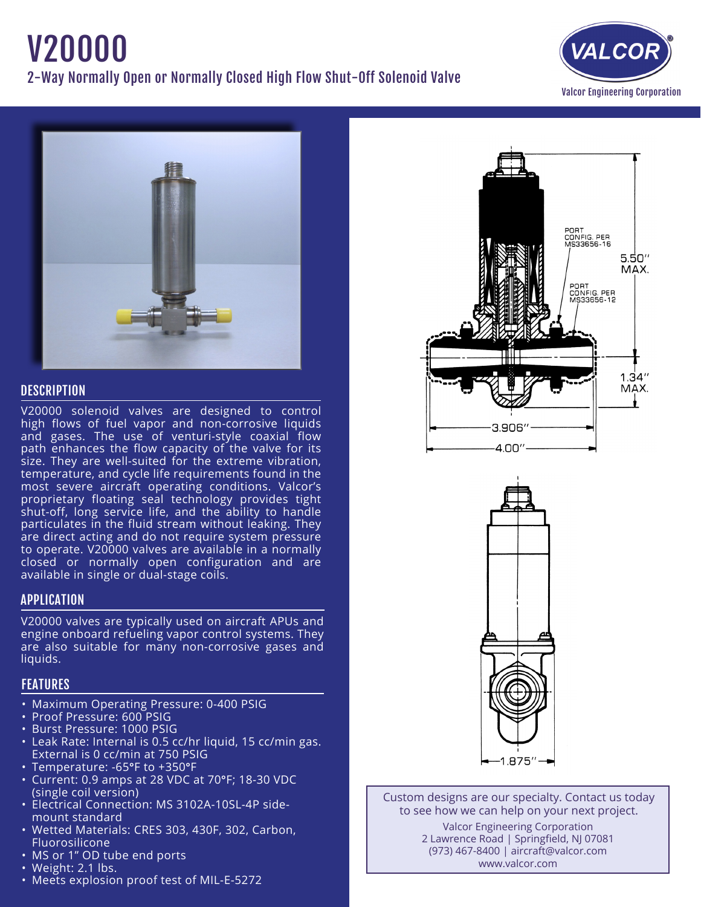# V20000 2-Way Normally Open or Normally Closed High Flow Shut-Off Solenoid Valve





### **DESCRIPTION**

V20000 solenoid valves are designed to control high flows of fuel vapor and non-corrosive liquids and gases. The use of venturi-style coaxial flow path enhances the flow capacity of the valve for its size. They are well-suited for the extreme vibration, temperature, and cycle life requirements found in the most severe aircraft operating conditions. Valcor's proprietary floating seal technology provides tight shut-off, long service life, and the ability to handle particulates in the fluid stream without leaking. They are direct acting and do not require system pressure to operate. V20000 valves are available in a normally closed or normally open configuration and are available in single or dual-stage coils.

## APPLICATION

V20000 valves are typically used on aircraft APUs and engine onboard refueling vapor control systems. They are also suitable for many non-corrosive gases and liquids.

## FEATURES

- Maximum Operating Pressure: 0-400 PSIG
- Proof Pressure: 600 PSIG
- • Burst Pressure: 1000 PSIG
- Leak Rate: Internal is 0.5 cc/hr liquid, 15 cc/min gas. External is 0 cc/min at 750 PSIG
- Temperature: -65°F to +350°F
- • Current: 0.9 amps at 28 VDC at 70°F; 18-30 VDC (single coil version)
- Electrical Connection: MS 3102A-10SL-4P side- mount standard
- Wetted Materials: CRES 303, 430F, 302, Carbon, Fluorosilicone
- MS or 1" OD tube end ports
- Weight: 2.1 lbs.
- Meets explosion proof test of MIL-E-5272





Custom designs are our specialty. Contact us today to see how we can help on your next project. Valcor Engineering Corporation 2 Lawrence Road | Springfield, NJ 07081 (973) 467-8400 | aircraft@valcor.com

www.valcor.com